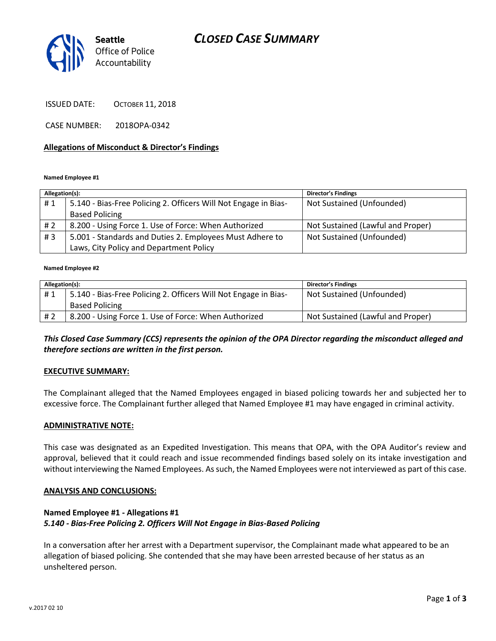# *CLOSED CASE SUMMARY*



ISSUED DATE: OCTOBER 11, 2018

CASE NUMBER: 2018OPA-0342

### **Allegations of Misconduct & Director's Findings**

#### **Named Employee #1**

| Allegation(s): |                                                                 | <b>Director's Findings</b>        |
|----------------|-----------------------------------------------------------------|-----------------------------------|
| #1             | 5.140 - Bias-Free Policing 2. Officers Will Not Engage in Bias- | Not Sustained (Unfounded)         |
|                | <b>Based Policing</b>                                           |                                   |
| # 2            | 8.200 - Using Force 1. Use of Force: When Authorized            | Not Sustained (Lawful and Proper) |
| #3             | 5.001 - Standards and Duties 2. Employees Must Adhere to        | Not Sustained (Unfounded)         |
|                | Laws, City Policy and Department Policy                         |                                   |

#### **Named Employee #2**

| Allegation(s): |                                                                 | <b>Director's Findings</b>        |
|----------------|-----------------------------------------------------------------|-----------------------------------|
| #1             | 5.140 - Bias-Free Policing 2. Officers Will Not Engage in Bias- | Not Sustained (Unfounded)         |
|                | <b>Based Policing</b>                                           |                                   |
| # 2            | 8.200 - Using Force 1. Use of Force: When Authorized            | Not Sustained (Lawful and Proper) |

## *This Closed Case Summary (CCS) represents the opinion of the OPA Director regarding the misconduct alleged and therefore sections are written in the first person.*

### **EXECUTIVE SUMMARY:**

The Complainant alleged that the Named Employees engaged in biased policing towards her and subjected her to excessive force. The Complainant further alleged that Named Employee #1 may have engaged in criminal activity.

### **ADMINISTRATIVE NOTE:**

This case was designated as an Expedited Investigation. This means that OPA, with the OPA Auditor's review and approval, believed that it could reach and issue recommended findings based solely on its intake investigation and without interviewing the Named Employees. As such, the Named Employees were not interviewed as part of this case.

#### **ANALYSIS AND CONCLUSIONS:**

### **Named Employee #1 - Allegations #1** *5.140 - Bias-Free Policing 2. Officers Will Not Engage in Bias-Based Policing*

In a conversation after her arrest with a Department supervisor, the Complainant made what appeared to be an allegation of biased policing. She contended that she may have been arrested because of her status as an unsheltered person.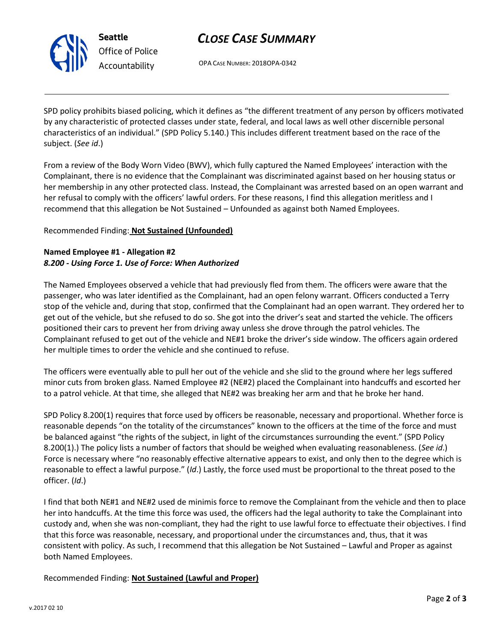

# *CLOSE CASE SUMMARY*

OPA CASE NUMBER: 2018OPA-0342

SPD policy prohibits biased policing, which it defines as "the different treatment of any person by officers motivated by any characteristic of protected classes under state, federal, and local laws as well other discernible personal characteristics of an individual." (SPD Policy 5.140.) This includes different treatment based on the race of the subject. (*See id*.)

From a review of the Body Worn Video (BWV), which fully captured the Named Employees' interaction with the Complainant, there is no evidence that the Complainant was discriminated against based on her housing status or her membership in any other protected class. Instead, the Complainant was arrested based on an open warrant and her refusal to comply with the officers' lawful orders. For these reasons, I find this allegation meritless and I recommend that this allegation be Not Sustained – Unfounded as against both Named Employees.

# Recommended Finding: **Not Sustained (Unfounded)**

## **Named Employee #1 - Allegation #2** *8.200 - Using Force 1. Use of Force: When Authorized*

The Named Employees observed a vehicle that had previously fled from them. The officers were aware that the passenger, who was later identified as the Complainant, had an open felony warrant. Officers conducted a Terry stop of the vehicle and, during that stop, confirmed that the Complainant had an open warrant. They ordered her to get out of the vehicle, but she refused to do so. She got into the driver's seat and started the vehicle. The officers positioned their cars to prevent her from driving away unless she drove through the patrol vehicles. The Complainant refused to get out of the vehicle and NE#1 broke the driver's side window. The officers again ordered her multiple times to order the vehicle and she continued to refuse.

The officers were eventually able to pull her out of the vehicle and she slid to the ground where her legs suffered minor cuts from broken glass. Named Employee #2 (NE#2) placed the Complainant into handcuffs and escorted her to a patrol vehicle. At that time, she alleged that NE#2 was breaking her arm and that he broke her hand.

SPD Policy 8.200(1) requires that force used by officers be reasonable, necessary and proportional. Whether force is reasonable depends "on the totality of the circumstances" known to the officers at the time of the force and must be balanced against "the rights of the subject, in light of the circumstances surrounding the event." (SPD Policy 8.200(1).) The policy lists a number of factors that should be weighed when evaluating reasonableness. (*See id*.) Force is necessary where "no reasonably effective alternative appears to exist, and only then to the degree which is reasonable to effect a lawful purpose." (*Id*.) Lastly, the force used must be proportional to the threat posed to the officer. (*Id*.)

I find that both NE#1 and NE#2 used de minimis force to remove the Complainant from the vehicle and then to place her into handcuffs. At the time this force was used, the officers had the legal authority to take the Complainant into custody and, when she was non-compliant, they had the right to use lawful force to effectuate their objectives. I find that this force was reasonable, necessary, and proportional under the circumstances and, thus, that it was consistent with policy. As such, I recommend that this allegation be Not Sustained – Lawful and Proper as against both Named Employees.

Recommended Finding: **Not Sustained (Lawful and Proper)**